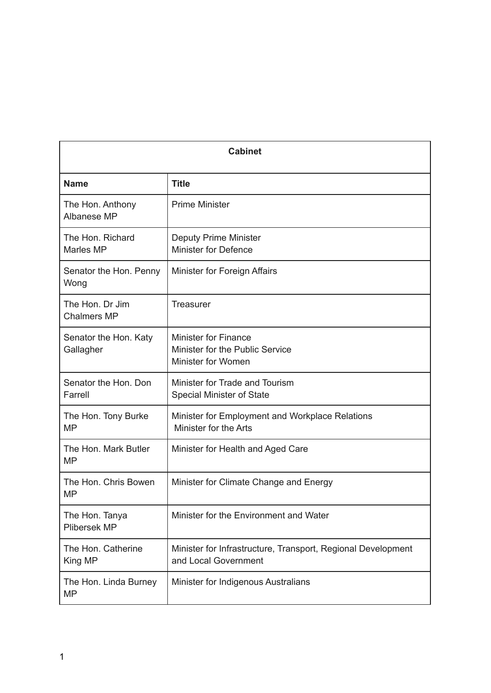| <b>Cabinet</b>                        |                                                                                             |  |
|---------------------------------------|---------------------------------------------------------------------------------------------|--|
| <b>Name</b>                           | <b>Title</b>                                                                                |  |
| The Hon. Anthony<br>Albanese MP       | <b>Prime Minister</b>                                                                       |  |
| The Hon. Richard<br>Marles MP         | <b>Deputy Prime Minister</b><br><b>Minister for Defence</b>                                 |  |
| Senator the Hon. Penny<br>Wong        | Minister for Foreign Affairs                                                                |  |
| The Hon. Dr Jim<br><b>Chalmers MP</b> | <b>Treasurer</b>                                                                            |  |
| Senator the Hon. Katy<br>Gallagher    | <b>Minister for Finance</b><br>Minister for the Public Service<br><b>Minister for Women</b> |  |
| Senator the Hon. Don<br>Farrell       | Minister for Trade and Tourism<br>Special Minister of State                                 |  |
| The Hon. Tony Burke<br><b>MP</b>      | Minister for Employment and Workplace Relations<br>Minister for the Arts                    |  |
| The Hon. Mark Butler<br><b>MP</b>     | Minister for Health and Aged Care                                                           |  |
| The Hon. Chris Bowen<br>ΜP            | Minister for Climate Change and Energy                                                      |  |
| The Hon. Tanya<br>Plibersek MP        | Minister for the Environment and Water                                                      |  |
| The Hon. Catherine<br>King MP         | Minister for Infrastructure, Transport, Regional Development<br>and Local Government        |  |
| The Hon. Linda Burney<br><b>MP</b>    | Minister for Indigenous Australians                                                         |  |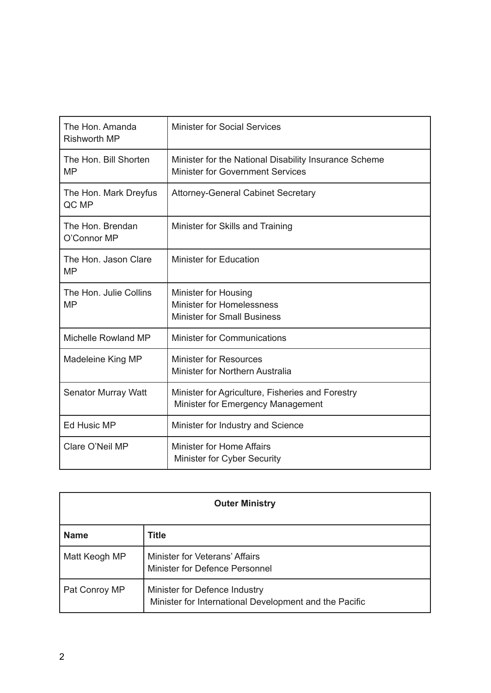| The Hon. Amanda<br><b>Rishworth MP</b> | <b>Minister for Social Services</b>                                                              |
|----------------------------------------|--------------------------------------------------------------------------------------------------|
| The Hon. Bill Shorten<br><b>MP</b>     | Minister for the National Disability Insurance Scheme<br><b>Minister for Government Services</b> |
| The Hon. Mark Dreyfus<br>QC MP         | <b>Attorney-General Cabinet Secretary</b>                                                        |
| The Hon. Brendan<br>O'Connor MP        | Minister for Skills and Training                                                                 |
| The Hon. Jason Clare<br><b>MP</b>      | <b>Minister for Education</b>                                                                    |
| The Hon. Julie Collins<br><b>MP</b>    | Minister for Housing<br><b>Minister for Homelessness</b><br><b>Minister for Small Business</b>   |
| Michelle Rowland MP                    | <b>Minister for Communications</b>                                                               |
| Madeleine King MP                      | <b>Minister for Resources</b><br>Minister for Northern Australia                                 |
| <b>Senator Murray Watt</b>             | Minister for Agriculture, Fisheries and Forestry<br>Minister for Emergency Management            |
| <b>Ed Husic MP</b>                     | Minister for Industry and Science                                                                |
| Clare O'Neil MP                        | <b>Minister for Home Affairs</b><br>Minister for Cyber Security                                  |

| <b>Outer Ministry</b> |                                                                                         |  |
|-----------------------|-----------------------------------------------------------------------------------------|--|
| <b>Name</b>           | <b>Title</b>                                                                            |  |
| Matt Keogh MP         | Minister for Veterans' Affairs<br>Minister for Defence Personnel                        |  |
| Pat Conroy MP         | Minister for Defence Industry<br>Minister for International Development and the Pacific |  |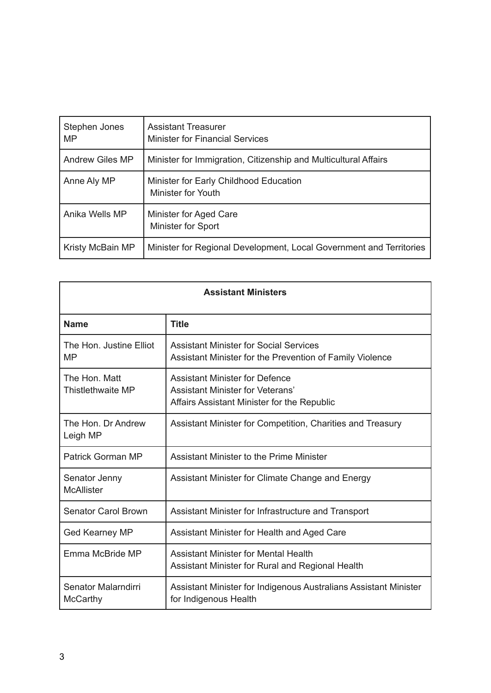| Stephen Jones<br><b>MP</b> | <b>Assistant Treasurer</b><br><b>Minister for Financial Services</b> |
|----------------------------|----------------------------------------------------------------------|
| Andrew Giles MP            | Minister for Immigration, Citizenship and Multicultural Affairs      |
| Anne Aly MP                | Minister for Early Childhood Education<br>Minister for Youth         |
| Anika Wells MP             | Minister for Aged Care<br>Minister for Sport                         |
| Kristy McBain MP           | Minister for Regional Development, Local Government and Territories  |

| <b>Assistant Ministers</b>             |                                                                                                                                 |  |
|----------------------------------------|---------------------------------------------------------------------------------------------------------------------------------|--|
| <b>Name</b>                            | <b>Title</b>                                                                                                                    |  |
| The Hon. Justine Elliot<br><b>MP</b>   | <b>Assistant Minister for Social Services</b><br>Assistant Minister for the Prevention of Family Violence                       |  |
| The Hon. Matt<br>Thistlethwaite MP     | <b>Assistant Minister for Defence</b><br><b>Assistant Minister for Veterans'</b><br>Affairs Assistant Minister for the Republic |  |
| The Hon. Dr Andrew<br>Leigh MP         | Assistant Minister for Competition, Charities and Treasury                                                                      |  |
| <b>Patrick Gorman MP</b>               | Assistant Minister to the Prime Minister                                                                                        |  |
| Senator Jenny<br><b>McAllister</b>     | Assistant Minister for Climate Change and Energy                                                                                |  |
| <b>Senator Carol Brown</b>             | Assistant Minister for Infrastructure and Transport                                                                             |  |
| <b>Ged Kearney MP</b>                  | Assistant Minister for Health and Aged Care                                                                                     |  |
| Emma McBride MP                        | <b>Assistant Minister for Mental Health</b><br>Assistant Minister for Rural and Regional Health                                 |  |
| Senator Malarndirri<br><b>McCarthy</b> | Assistant Minister for Indigenous Australians Assistant Minister<br>for Indigenous Health                                       |  |